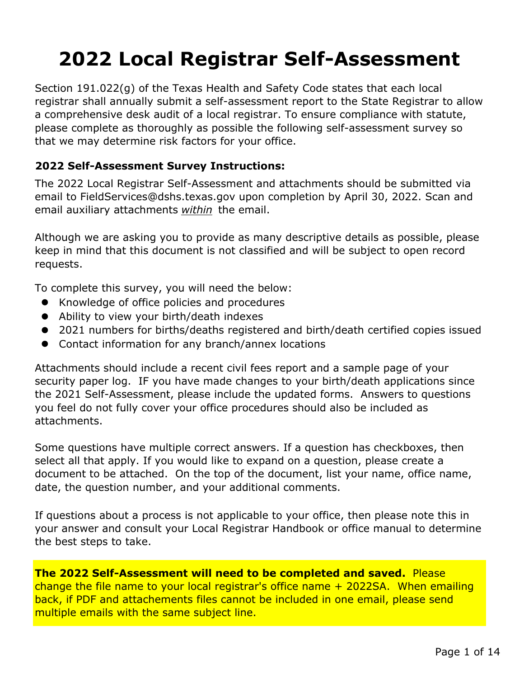# **2022 Local Registrar Self-Assessment**

Section 191.022(g) of the Texas Health and Safety Code states that each local registrar shall annually submit a self-assessment report to the State Registrar to allow a comprehensive desk audit of a local registrar. To ensure compliance with statute, please complete as thoroughly as possible the following self-assessment survey so that we may determine risk factors for your office.

#### **2022 Self-Assessment Survey Instructions:**

The 2022 Local Registrar Self-Assessment and attachments should be submitted via email to FieldServices@dshs.texas.gov upon completion by April 30, 2022. Scan and email auxiliary attachments *within* the email.

Although we are asking you to provide as many descriptive details as possible, please keep in mind that this document is not classified and will be subject to open record requests.

To complete this survey, you will need the below:

- $\bullet$ Knowledge of office policies and procedures
- Ability to view your birth/death indexes
- 2021 numbers for births/deaths registered and birth/death certified copies issued
- Contact information for any branch/annex locations

Attachments should include a recent civil fees report and a sample page of your security paper log. IF you have made changes to your birth/death applications since the 2021 Self-Assessment, please include the updated forms. Answers to questions you feel do not fully cover your office procedures should also be included as attachments.

Some questions have multiple correct answers. If a question has checkboxes, then select all that apply. If you would like to expand on a question, please create a document to be attached. On the top of the document, list your name, office name, date, the question number, and your additional comments.

If questions about a process is not applicable to your office, then please note this in your answer and consult your Local Registrar Handbook or office manual to determine the best steps to take.

**The 2022 Self-Assessment will need to be completed and saved.** Please change the file name to your local registrar's office name + 2022SA. When emailing back, if PDF and attachements files cannot be included in one email, please send multiple emails with the same subject line.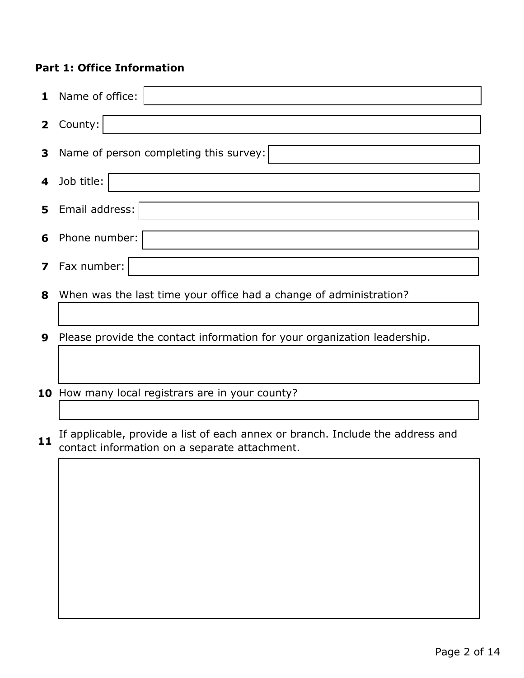### **Part 1: Office Information**

| $\mathbf{1}$            | Name of office:                                                                |
|-------------------------|--------------------------------------------------------------------------------|
| $\mathbf{2}$            | County:                                                                        |
| 3                       | Name of person completing this survey:                                         |
| 4                       | Job title:                                                                     |
| 5                       | Email address:                                                                 |
| 6                       | Phone number:                                                                  |
| $\overline{\mathbf{z}}$ | Fax number:                                                                    |
| 8                       | When was the last time your office had a change of administration?             |
|                         |                                                                                |
| 9                       | Please provide the contact information for your organization leadership.       |
|                         |                                                                                |
|                         |                                                                                |
|                         | 10 How many local registrars are in your county?                               |
|                         |                                                                                |
|                         | If applicable, provide a list of each annex or branch. Include the address and |

**11** If applicable, provide a list of each annex or branch. Include the address and contact information on a separate attachment.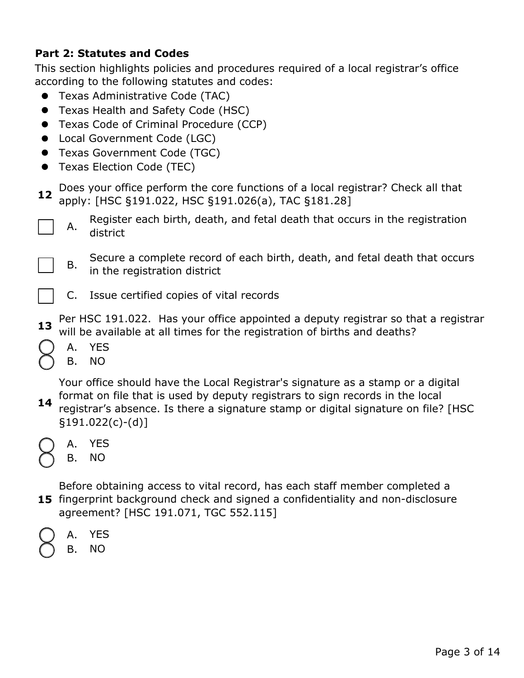#### **Part 2: Statutes and Codes**

This section highlights policies and procedures required of a local registrar's office according to the following statutes and codes:

- Texas Administrative Code (TAC)
- **•** Texas Health and Safety Code (HSC)
- Texas Code of Criminal Procedure (CCP)
- Local Government Code (LGC)
- Texas Government Code (TGC)
- **•** Texas Election Code (TEC)
- **12** Does your office perform the core functions of a local registrar? Check all that apply: [HSC §191.022, HSC §191.026(a), TAC §181.28]
	- A. Register each birth, death, and fetal death that occurs in the registration district
		- B. Secure a complete record of each birth, death, and fetal death that occurs in the registration district
	- C. Issue certified copies of vital records
- **13** Per HSC 191.022. Has your office appointed a deputy registrar so that a registrar will be available at all times for the registration of births and deaths?
	- A. YES
	- B. NO

**14** Your office should have the Local Registrar's signature as a stamp or a digital format on file that is used by deputy registrars to sign records in the local registrar's absence. Is there a signature stamp or digital signature on file? [HSC §191.022(c)-(d)]

- A. YES
	- B. NO

**15** fingerprint background check and signed a confidentiality and non-disclosure Before obtaining access to vital record, has each staff member completed a agreement? [HSC 191.071, TGC 552.115]

A. YES

> B. NO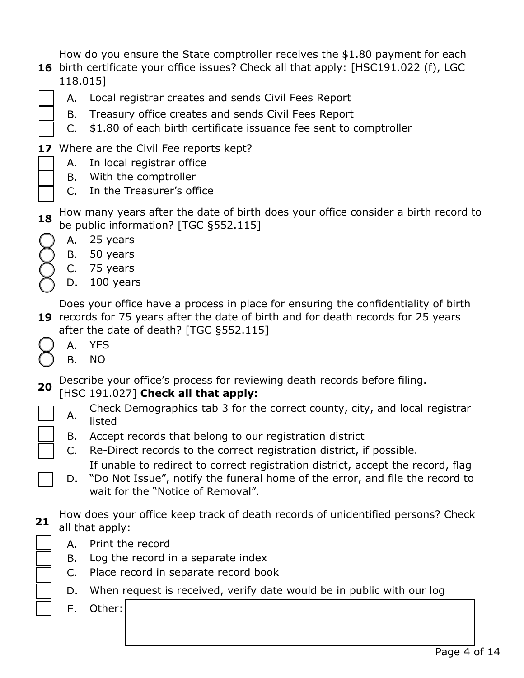How do you ensure the State comptroller receives the \$1.80 payment for each

- **16** birth certificate your office issues? Check all that apply: [HSC191.022 (f), LGC 118.015]
	- A. Local registrar creates and sends Civil Fees Report
		- B. Treasury office creates and sends Civil Fees Report
		- C. \$1.80 of each birth certificate issuance fee sent to comptroller
- 17 Where are the Civil Fee reports kept?
	- A. In local registrar office
	- B. With the comptroller
	- C. In the Treasurer's office
- **18** How many years after the date of birth does your office consider a birth record to be public information? [TGC §552.115]
	- A. 25 years
	- B. 50 years
	- C. 75 years
	- D. 100 years

**19** records for 75 years after the date of birth and for death records for 25 years Does your office have a process in place for ensuring the confidentiality of birth after the date of death? [TGC §552.115]

- A. YES
- B. NO

**20** Describe your office's process for reviewing death records before filing.

## [HSC 191.027] **Check all that apply:**

- A. Check Demographics tab 3 for the correct county, city, and local registrar listed
- B. Accept records that belong to our registration district
- C. Re-Direct records to the correct registration district, if possible. If unable to redirect to correct registration district, accept the record, flag
- D. "Do Not Issue", notify the funeral home of the error, and file the record to wait for the "Notice of Removal".
- **21** How does your office keep track of death records of unidentified persons? Check all that apply:
	- A. Print the record
	- B. Log the record in a separate index
	- C. Place record in separate record book
	- D. When request is received, verify date would be in public with our log
	- E. Other: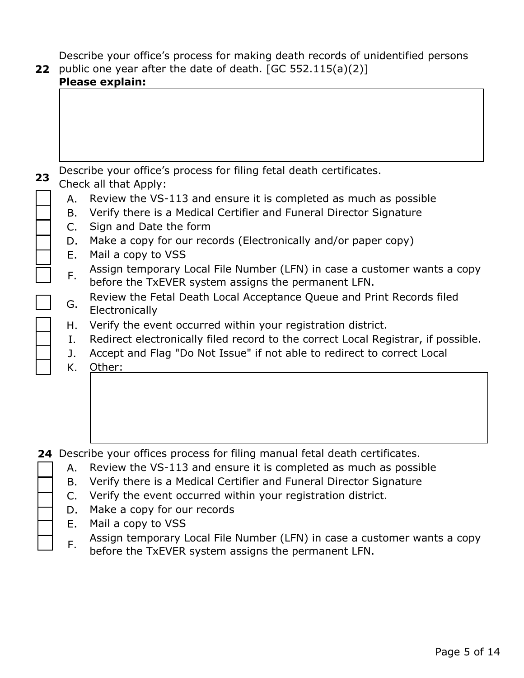Describe your office's process for making death records of unidentified persons

| 22 |          | public one year after the date of death. $[GC 552.115(a)(2)]$<br>Please explain:                                                   |
|----|----------|------------------------------------------------------------------------------------------------------------------------------------|
|    |          |                                                                                                                                    |
|    |          |                                                                                                                                    |
|    |          |                                                                                                                                    |
|    |          |                                                                                                                                    |
| 23 |          | Describe your office's process for filing fetal death certificates.<br>Check all that Apply:                                       |
|    | А.       | Review the VS-113 and ensure it is completed as much as possible                                                                   |
|    | В.       | Verify there is a Medical Certifier and Funeral Director Signature                                                                 |
|    | C.<br>D. | Sign and Date the form<br>Make a copy for our records (Electronically and/or paper copy)                                           |
|    | Ε.       | Mail a copy to VSS                                                                                                                 |
|    | F.       | Assign temporary Local File Number (LFN) in case a customer wants a copy<br>before the TxEVER system assigns the permanent LFN.    |
|    | G.       | Review the Fetal Death Local Acceptance Queue and Print Records filed<br>Electronically                                            |
|    | Н.       | Verify the event occurred within your registration district.                                                                       |
|    | Ι.       | Redirect electronically filed record to the correct Local Registrar, if possible.                                                  |
|    | J.<br>Κ. | Accept and Flag "Do Not Issue" if not able to redirect to correct Local<br>Other:                                                  |
|    |          |                                                                                                                                    |
|    |          |                                                                                                                                    |
|    |          |                                                                                                                                    |
|    |          |                                                                                                                                    |
|    |          | 24 Describe your offices process for filing manual fetal death certificates.                                                       |
|    | А.       | Review the VS-113 and ensure it is completed as much as possible                                                                   |
|    | Β.<br>C. | Verify there is a Medical Certifier and Funeral Director Signature<br>Verify the event occurred within your registration district. |
|    | D.       | Make a copy for our records                                                                                                        |
|    | Е.       | Mail a copy to VSS                                                                                                                 |
|    | F.       | Assign temporary Local File Number (LFN) in case a customer wants a copy<br>before the TxEVER system assigns the permanent LFN.    |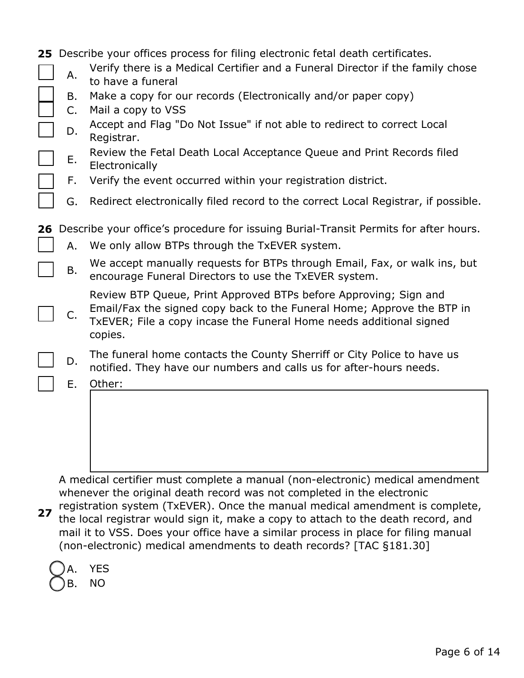|    |          | 25 Describe your offices process for filing electronic fetal death certificates.                                                                                                                                             |
|----|----------|------------------------------------------------------------------------------------------------------------------------------------------------------------------------------------------------------------------------------|
|    | А.       | Verify there is a Medical Certifier and a Funeral Director if the family chose<br>to have a funeral                                                                                                                          |
|    | Β.<br>C. | Make a copy for our records (Electronically and/or paper copy)<br>Mail a copy to VSS                                                                                                                                         |
|    | D.       | Accept and Flag "Do Not Issue" if not able to redirect to correct Local<br>Registrar.                                                                                                                                        |
|    | Ε.       | Review the Fetal Death Local Acceptance Queue and Print Records filed<br>Electronically                                                                                                                                      |
|    | F.       | Verify the event occurred within your registration district.                                                                                                                                                                 |
|    | G.       | Redirect electronically filed record to the correct Local Registrar, if possible.                                                                                                                                            |
| 26 |          | Describe your office's procedure for issuing Burial-Transit Permits for after hours.                                                                                                                                         |
|    | Α.       | We only allow BTPs through the TxEVER system.                                                                                                                                                                                |
|    | Β.       | We accept manually requests for BTPs through Email, Fax, or walk ins, but<br>encourage Funeral Directors to use the TxEVER system.                                                                                           |
|    | C.       | Review BTP Queue, Print Approved BTPs before Approving; Sign and<br>Email/Fax the signed copy back to the Funeral Home; Approve the BTP in<br>TxEVER; File a copy incase the Funeral Home needs additional signed<br>copies. |
|    | D.       | The funeral home contacts the County Sherriff or City Police to have us<br>notified. They have our numbers and calls us for after-hours needs.                                                                               |
|    | Ε.       | Other:                                                                                                                                                                                                                       |
|    |          |                                                                                                                                                                                                                              |
|    |          | A medical certifier must complete a manual (non-electronic) medical amendment                                                                                                                                                |

**27** whenever the original death record was not completed in the electronic registration system (TxEVER). Once the manual medical amendment is complete, the local registrar would sign it, make a copy to attach to the death record, and mail it to VSS. Does your office have a similar process in place for filing manual (non-electronic) medical amendments to death records? [TAC §181.30]

A. B. NO YES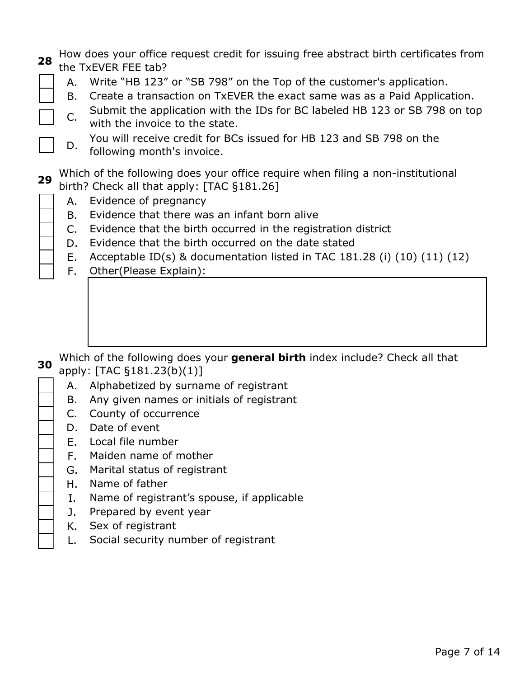|  | a. How does your office request credit for issuing free abstract birth certificates from |
|--|------------------------------------------------------------------------------------------|
|  | <sup>28</sup> the TxEVER FEE tab?                                                        |

- A. Write "HB 123" or "SB 798" on the Top of the customer's application.
- B. Create a transaction on TxEVER the exact same was as a Paid Application.
- C. Submit the application with the IDs for BC labeled HB 123 or SB 798 on top with the invoice to the state.
	- D. You will receive credit for BCs issued for HB 123 and SB 798 on the following month's invoice.

**29** Which of the following does your office require when filing a non-institutional birth? Check all that apply: [TAC §181.26]

- A. Evidence of pregnancy
- B. Evidence that there was an infant born alive
- C. Evidence that the birth occurred in the registration district
- D. Evidence that the birth occurred on the date stated
- E. Acceptable ID(s) & documentation listed in TAC 181.28 (i) (10) (11) (12)
- F. Other(Please Explain):

- **30** Which of the following does your **general birth** index include? Check all that apply: [TAC §181.23(b)(1)]
	- A. Alphabetized by surname of registrant
	- B. Any given names or initials of registrant
	- C. County of occurrence
	- D. Date of event
	- E. Local file number
	- F. Maiden name of mother
	- G. Marital status of registrant
	- H. Name of father
	- I. Name of registrant's spouse, if applicable
	- J. Prepared by event year
	- K. Sex of registrant
	- L. Social security number of registrant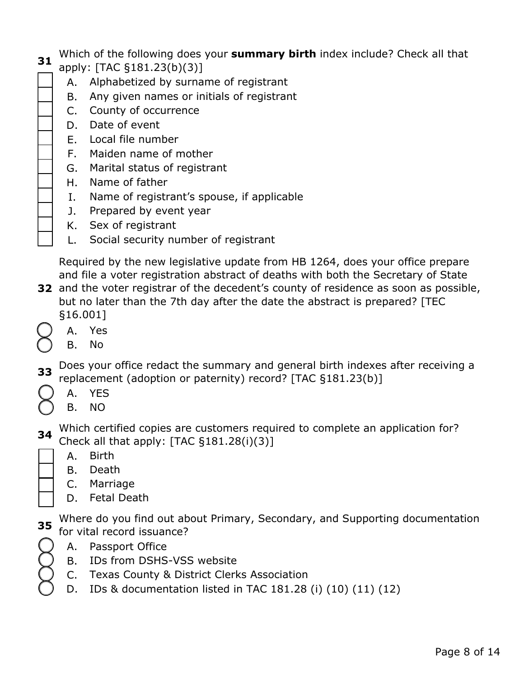- **31** Which of the following does your **summary birth** index include? Check all that
	- apply: [TAC §181.23(b)(3)]
		- A. Alphabetized by surname of registrant
		- B. Any given names or initials of registrant
		- C. County of occurrence
		- D. Date of event
		- E. Local file number
		- F. Maiden name of mother
		- G. Marital status of registrant
		- H. Name of father
		- I. Name of registrant's spouse, if applicable
		- J. Prepared by event year
		- K. Sex of registrant
		- L. Social security number of registrant

Required by the new legislative update from HB 1264, does your office prepare and file a voter registration abstract of deaths with both the Secretary of State

- **32** and the voter registrar of the decedent's county of residence as soon as possible, but no later than the 7th day after the date the abstract is prepared? [TEC §16.001]
	- A. Yes
	- B. No
- **33** Does your office redact the summary and general birth indexes after receiving a replacement (adoption or paternity) record? [TAC §181.23(b)]
	- A. YES
	- B. NO

**34** Which certified copies are customers required to complete an application for? Check all that apply: [TAC §181.28(i)(3)]

- A. Birth
- B. Death
- C. Marriage
- D. Fetal Death

**35** Where do you find out about Primary, Secondary, and Supporting documentation for vital record issuance?

- A. Passport Office
- B. IDs from DSHS-VSS website
- C. Texas County & District Clerks Association
- D. IDs & documentation listed in TAC 181.28 (i) (10) (11) (12)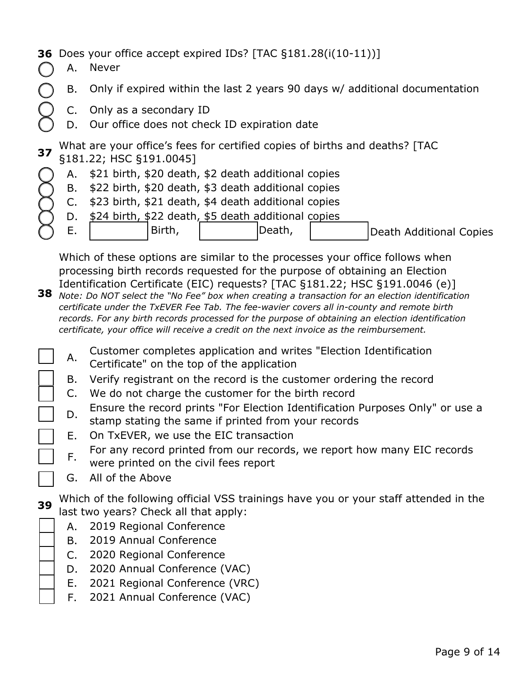### **36** Does your office accept expired IDs? [TAC §181.28(i(10-11))]

- A. Never
	- B. Only if expired within the last 2 years 90 days w/ additional documentation
	- C. Only as a secondary ID
	- D. Our office does not check ID expiration date

**37** What are your office's fees for certified copies of births and deaths? [TAC §181.22; HSC §191.0045]

- A. \$21 birth, \$20 death, \$2 death additional copies
- B. \$22 birth, \$20 death, \$3 death additional copies
- C. \$23 birth, \$21 death, \$4 death additional copies
- D. \$24 birth, \$22 death, \$5 death additional copies
- E. Birth, | | | |Death, | | |Death Additional Copies

Which of these options are similar to the processes your office follows when processing birth records requested for the purpose of obtaining an Election Identification Certificate (EIC) requests? [TAC §181.22; HSC §191.0046 (e)]

- **38** *Note: Do NOT select the "No Fee" box when creating a transaction for an election identification certificate under the TxEVER Fee Tab. The fee-wavier covers all in-county and remote birth records. For any birth records processed for the purpose of obtaining an election identification certificate, your office will receive a credit on the next invoice as the reimbursement.* 
	- A. Customer completes application and writes "Election Identification Certificate" on the top of the application
	- B. Verify registrant on the record is the customer ordering the record
	- C. We do not charge the customer for the birth record
	- D. Ensure the record prints "For Election Identification Purposes Only" or use a stamp stating the same if printed from your records
	- E. On TxEVER, we use the EIC transaction

F. For any record printed from our records, we report how many EIC records were printed on the civil fees report

G. All of the Above

**39**

Which of the following official VSS trainings have you or your staff attended in the last two years? Check all that apply:

- A. 2019 Regional Conference
- B. 2019 Annual Conference
- C. 2020 Regional Conference
- D. 2020 Annual Conference (VAC)
- E. 2021 Regional Conference (VRC)
- F. 2021 Annual Conference (VAC)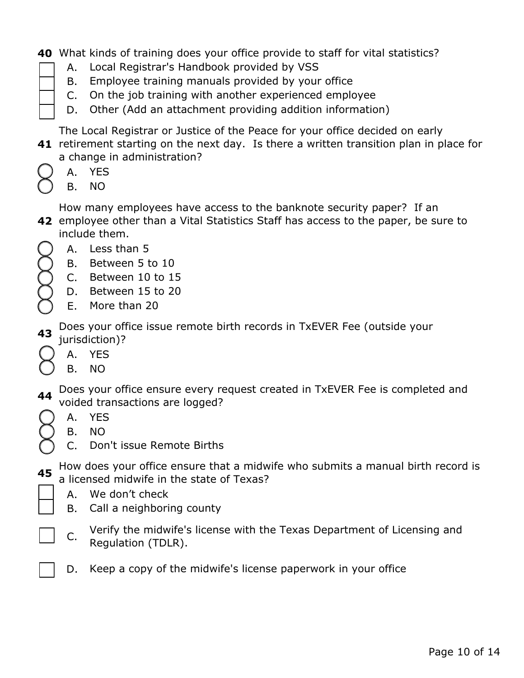- **40** What kinds of training does your office provide to staff for vital statistics?
	- A. Local Registrar's Handbook provided by VSS
	- B. Employee training manuals provided by your office
	- C. On the job training with another experienced employee
	- D. Other (Add an attachment providing addition information)

The Local Registrar or Justice of the Peace for your office decided on early

- **41** retirement starting on the next day. Is there a written transition plan in place for a change in administration?
	- A. YES
	- B. NO

**42** employee other than a Vital Statistics Staff has access to the paper, be sure to How many employees have access to the banknote security paper? If an include them.

- A. Less than 5
- B. Between 5 to 10
- C. Between 10 to 15
- D. Between 15 to 20
- E. More than 20

**43** Does your office issue remote birth records in TxEVER Fee (outside your jurisdiction)?

- A. YES
- B. NO

**44** Does your office ensure every request created in TxEVER Fee is completed and voided transactions are logged?

- A. YES
- B. NO
- C. Don't issue Remote Births

**45** How does your office ensure that a midwife who submits a manual birth record is a licensed midwife in the state of Texas?

- A. We don't check
- B. Call a neighboring county
- C. Verify the midwife's license with the Texas Department of Licensing and Regulation (TDLR).
- D. Keep a copy of the midwife's license paperwork in your office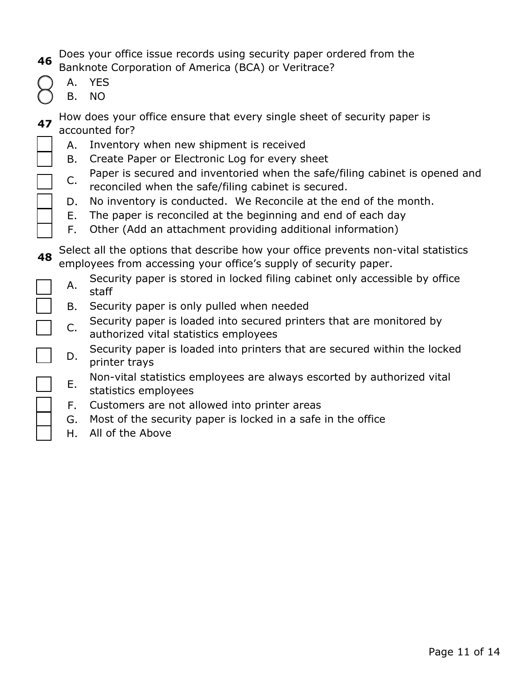- **46** Does your office issue records using security paper ordered from the Banknote Corporation of America (BCA) or Veritrace?
	- A. YES
	- B. NO
- **47** How does your office ensure that every single sheet of security paper is accounted for?
	- A. Inventory when new shipment is received
	- B. Create Paper or Electronic Log for every sheet
	- C. Paper is secured and inventoried when the safe/filing cabinet is opened and reconciled when the safe/filing cabinet is secured.
	- D. No inventory is conducted. We Reconcile at the end of the month.
	- E. The paper is reconciled at the beginning and end of each day
	- F. Other (Add an attachment providing additional information)

**48** Select all the options that describe how your office prevents non-vital statistics employees from accessing your office's supply of security paper.

- A. Security paper is stored in locked filing cabinet only accessible by office staff
- B. Security paper is only pulled when needed
- C. Security paper is loaded into secured printers that are monitored by authorized vital statistics employees
- D. Security paper is loaded into printers that are secured within the locked printer trays

E. Non-vital statistics employees are always escorted by authorized vital

- statistics employees
- F. Customers are not allowed into printer areas
- G. Most of the security paper is locked in a safe in the office
- H. All of the Above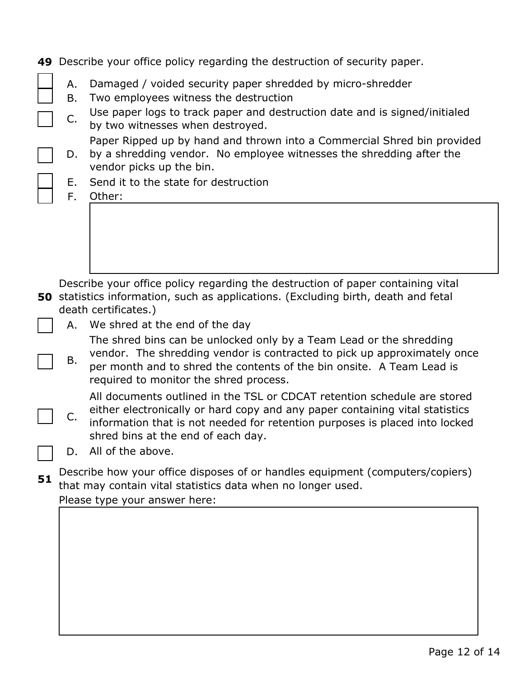|    |          | 49 Describe your office policy regarding the destruction of security paper.                                                                                                                                                                                                   |
|----|----------|-------------------------------------------------------------------------------------------------------------------------------------------------------------------------------------------------------------------------------------------------------------------------------|
|    | Α.<br>Β. | Damaged / voided security paper shredded by micro-shredder<br>Two employees witness the destruction                                                                                                                                                                           |
|    | C.       | Use paper logs to track paper and destruction date and is signed/initialed<br>by two witnesses when destroyed.                                                                                                                                                                |
|    | D.       | Paper Ripped up by hand and thrown into a Commercial Shred bin provided<br>by a shredding vendor. No employee witnesses the shredding after the<br>vendor picks up the bin.                                                                                                   |
|    | Е.<br>F. | Send it to the state for destruction<br>Other:                                                                                                                                                                                                                                |
|    |          |                                                                                                                                                                                                                                                                               |
|    |          | Describe your office policy regarding the destruction of paper containing vital<br>50 statistics information, such as applications. (Excluding birth, death and fetal<br>death certificates.)                                                                                 |
|    | А.       | We shred at the end of the day                                                                                                                                                                                                                                                |
|    | Β.       | The shred bins can be unlocked only by a Team Lead or the shredding<br>vendor. The shredding vendor is contracted to pick up approximately once<br>per month and to shred the contents of the bin onsite. A Team Lead is<br>required to monitor the shred process.            |
|    | C.       | All documents outlined in the TSL or CDCAT retention schedule are stored<br>either electronically or hard copy and any paper containing vital statistics<br>information that is not needed for retention purposes is placed into locked<br>shred bins at the end of each day. |
|    | D.       | All of the above.                                                                                                                                                                                                                                                             |
| 51 |          | Describe how your office disposes of or handles equipment (computers/copiers)<br>that may contain vital statistics data when no longer used.                                                                                                                                  |
|    |          | Please type your answer here:                                                                                                                                                                                                                                                 |
|    |          |                                                                                                                                                                                                                                                                               |
|    |          |                                                                                                                                                                                                                                                                               |
|    |          |                                                                                                                                                                                                                                                                               |
|    |          |                                                                                                                                                                                                                                                                               |
|    |          |                                                                                                                                                                                                                                                                               |
|    |          |                                                                                                                                                                                                                                                                               |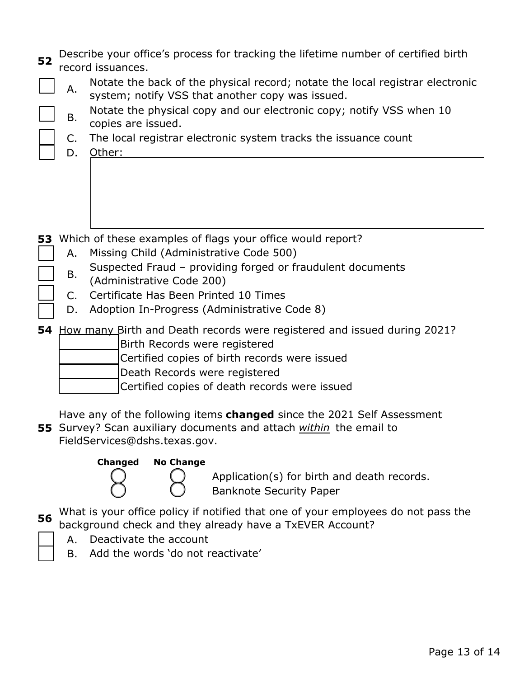| 52<br>Α.<br>Β.<br>C.<br>D. | Describe your office's process for tracking the lifetime number of certified birth<br>record issuances.<br>Notate the back of the physical record; notate the local registrar electronic<br>system; notify VSS that another copy was issued.<br>Notate the physical copy and our electronic copy; notify VSS when 10<br>copies are issued.<br>The local registrar electronic system tracks the issuance count<br>Other: |
|----------------------------|-------------------------------------------------------------------------------------------------------------------------------------------------------------------------------------------------------------------------------------------------------------------------------------------------------------------------------------------------------------------------------------------------------------------------|
| Α.<br>Β.<br>$C_{1}$<br>D.  | 53 Which of these examples of flags your office would report?<br>Missing Child (Administrative Code 500)<br>Suspected Fraud - providing forged or fraudulent documents<br>(Administrative Code 200)<br>Certificate Has Been Printed 10 Times<br>Adoption In-Progress (Administrative Code 8)                                                                                                                            |
|                            | 54 How many Birth and Death records were registered and issued during 2021?<br>Birth Records were registered<br>Certified copies of birth records were issued<br>Death Records were registered<br>Certified copies of death records were issued<br>Have any of the following items <b>changed</b> since the 2021 Self Assessment<br>55 Survey? Scan auxiliary documents and attach within the email to                  |

FieldServices@dshs.texas.gov.



Application(s) for birth and death records.

Banknote Security Paper

**56** What is your office policy if notified that one of your employees do not pass the background check and they already have a TxEVER Account?

- A. Deactivate the account
- B. Add the words 'do not reactivate'